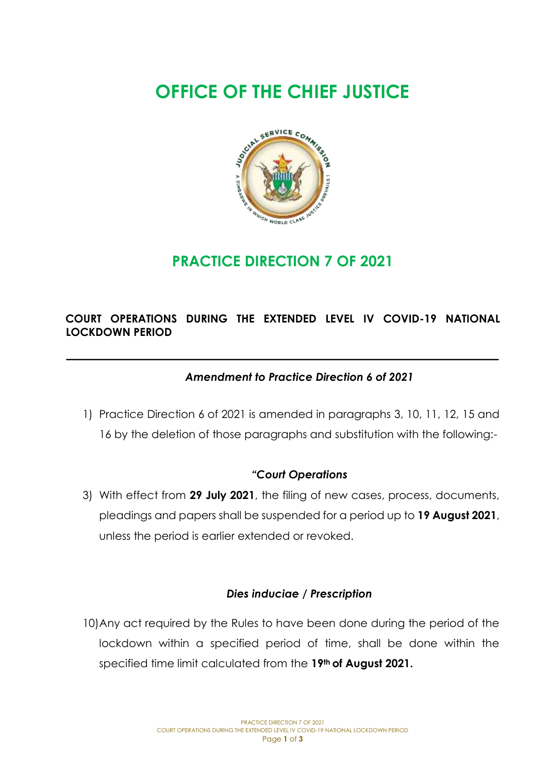# **OFFICE OF THE CHIEF JUSTICE**



# **PRACTICE DIRECTION 7 OF 2021**

## **COURT OPERATIONS DURING THE EXTENDED LEVEL IV COVID-19 NATIONAL LOCKDOWN PERIOD**

### *Amendment to Practice Direction 6 of 2021*

1) Practice Direction 6 of 2021 is amended in paragraphs 3, 10, 11, 12, 15 and 16 by the deletion of those paragraphs and substitution with the following:-

#### *"Court Operations*

3) With effect from **29 July 2021**, the filing of new cases, process, documents, pleadings and papers shall be suspended for a period up to **19 August 2021**, unless the period is earlier extended or revoked.

#### *Dies induciae / Prescription*

10)Any act required by the Rules to have been done during the period of the lockdown within a specified period of time, shall be done within the specified time limit calculated from the **19th of August 2021.**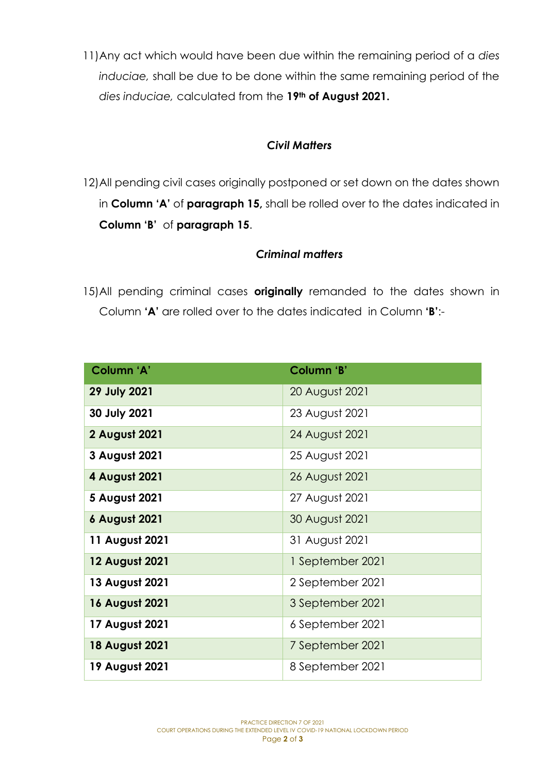11)Any act which would have been due within the remaining period of a *dies induciae,* shall be due to be done within the same remaining period of the *dies induciae,* calculated from the **19th of August 2021.**

#### *Civil Matters*

12)All pending civil cases originally postponed or set down on the dates shown in **Column 'A'** of **paragraph 15,** shall be rolled over to the dates indicated in **Column 'B'** of **paragraph 15**.

#### *Criminal matters*

15)All pending criminal cases **originally** remanded to the dates shown in Column **'A'** are rolled over to the dates indicated in Column **'B'**:-

| Column 'A'            | Column 'B'       |
|-----------------------|------------------|
| <b>29 July 2021</b>   | 20 August 2021   |
| 30 July 2021          | 23 August 2021   |
| 2 August 2021         | 24 August 2021   |
| 3 August 2021         | 25 August 2021   |
| 4 August 2021         | 26 August 2021   |
| 5 August 2021         | 27 August 2021   |
| <b>6 August 2021</b>  | 30 August 2021   |
| 11 August 2021        | 31 August 2021   |
| <b>12 August 2021</b> | 1 September 2021 |
| 13 August 2021        | 2 September 2021 |
| <b>16 August 2021</b> | 3 September 2021 |
| 17 August 2021        | 6 September 2021 |
| <b>18 August 2021</b> | 7 September 2021 |
| 19 August 2021        | 8 September 2021 |